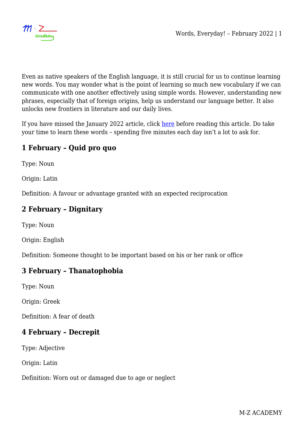

Even as native speakers of the English language, it is still crucial for us to continue learning new words. You may wonder what is the point of learning so much new vocabulary if we can communicate with one another effectively using simple words. However, understanding new phrases, especially that of foreign origins, help us understand our language better. It also unlocks new frontiers in literature and our daily lives.

If you have missed the January 2022 article, click [here](https://mzacademy.net/languages/english/words-everyday-january-2022/) before reading this article. Do take your time to learn these words – spending five minutes each day isn't a lot to ask for.

# **1 February – Quid pro quo**

Type: Noun

Origin: Latin

Definition: A favour or advantage granted with an expected reciprocation

### **2 February – Dignitary**

Type: Noun

Origin: English

Definition: Someone thought to be important based on his or her rank or office

#### **3 February – Thanatophobia**

Type: Noun

Origin: Greek

Definition: A fear of death

### **4 February – Decrepit**

Type: Adjective

Origin: Latin

Definition: Worn out or damaged due to age or neglect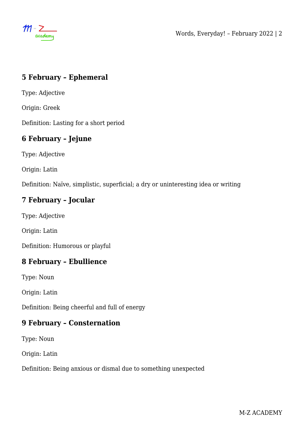$m - \sum_{\text{academy}}$ 

## **5 February – Ephemeral**

Type: Adjective

Origin: Greek

Definition: Lasting for a short period

# **6 February – Jejune**

Type: Adjective

Origin: Latin

Definition: Naïve, simplistic, superficial; a dry or uninteresting idea or writing

## **7 February – Jocular**

Type: Adjective

Origin: Latin

Definition: Humorous or playful

## **8 February – Ebullience**

Type: Noun

Origin: Latin

Definition: Being cheerful and full of energy

### **9 February – Consternation**

Type: Noun

Origin: Latin

Definition: Being anxious or dismal due to something unexpected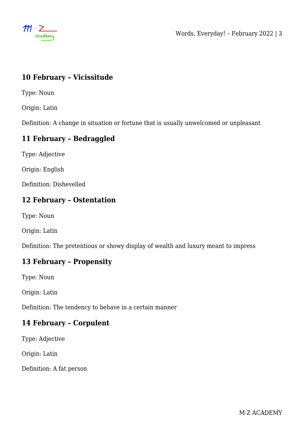$m \geq$ <br>academy

## **10 February – Vicissitude**

Type: Noun

Origin: Latin

Definition: A change in situation or fortune that is usually unwelcomed or unpleasant

## **11 February – Bedraggled**

Type: Adjective

Origin: English

Definition: Dishevelled

## **12 February – Ostentation**

Type: Noun

Origin: Latin

Definition: The pretentious or showy display of wealth and luxury meant to impress

## **13 February – Propensity**

Type: Noun

Origin: Latin

Definition: The tendency to behave in a certain manner

## **14 February – Corpulent**

Type: Adjective

Origin: Latin

Definition: A fat person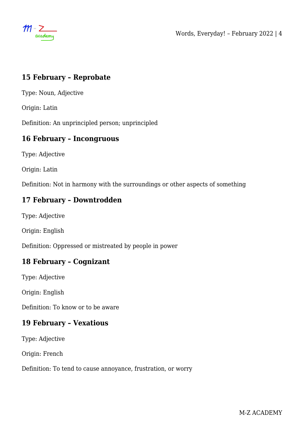$m \geq$ <br>academy

### **15 February – Reprobate**

Type: Noun, Adjective

Origin: Latin

Definition: An unprincipled person; unprincipled

#### **16 February – Incongruous**

Type: Adjective

Origin: Latin

Definition: Not in harmony with the surroundings or other aspects of something

### **17 February – Downtrodden**

Type: Adjective

Origin: English

Definition: Oppressed or mistreated by people in power

### **18 February – Cognizant**

Type: Adjective

Origin: English

Definition: To know or to be aware

### **19 February – Vexatious**

Type: Adjective

Origin: French

Definition: To tend to cause annoyance, frustration, or worry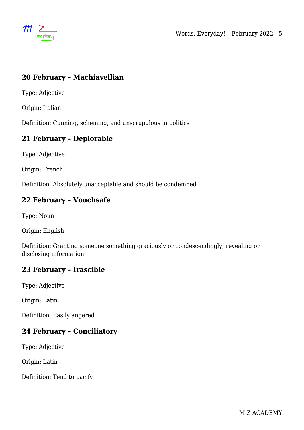$m \geq$ <br>academy

## **20 February – Machiavellian**

Type: Adjective

Origin: Italian

Definition: Cunning, scheming, and unscrupulous in politics

### **21 February – Deplorable**

Type: Adjective

Origin: French

Definition: Absolutely unacceptable and should be condemned

### **22 February – Vouchsafe**

Type: Noun

Origin: English

Definition: Granting someone something graciously or condescendingly; revealing or disclosing information

#### **23 February – Irascible**

Type: Adjective

Origin: Latin

Definition: Easily angered

## **24 February – Conciliatory**

Type: Adjective

Origin: Latin

Definition: Tend to pacify